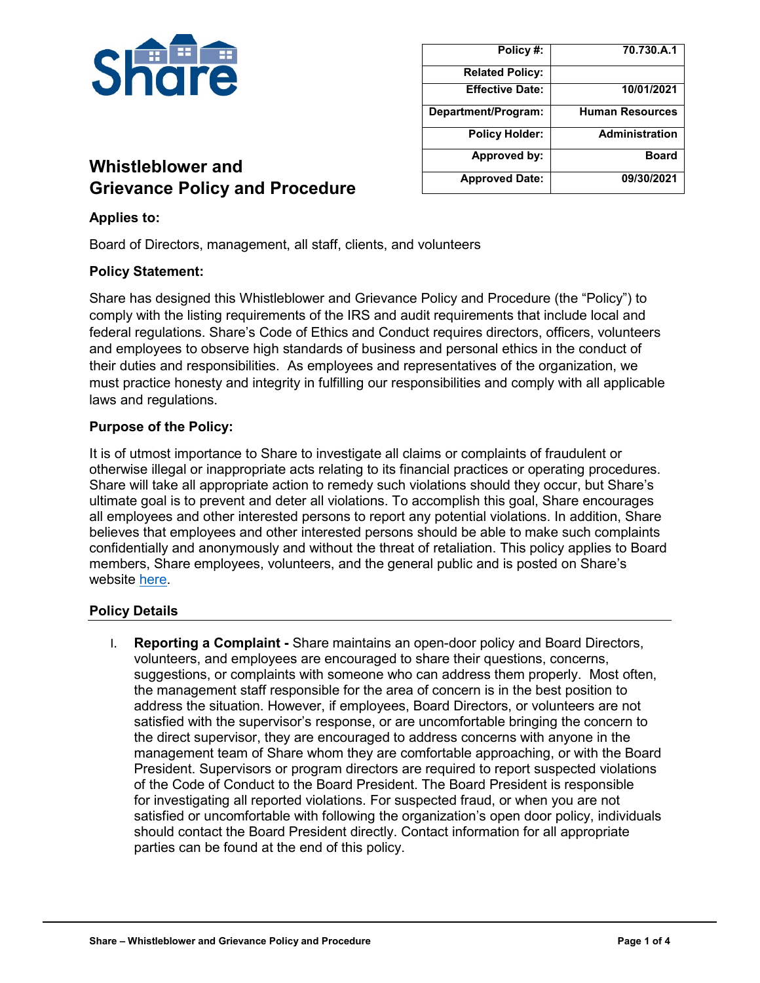

| Policy#:               | 70.730.A.1             |
|------------------------|------------------------|
| <b>Related Policy:</b> |                        |
| <b>Effective Date:</b> | 10/01/2021             |
| Department/Program:    | <b>Human Resources</b> |
| <b>Policy Holder:</b>  | <b>Administration</b>  |
| Approved by:           | <b>Board</b>           |
| <b>Approved Date:</b>  | 09/30/2021             |

# **Whistleblower and Grievance Policy and Procedure**

# **Applies to:**

Board of Directors, management, all staff, clients, and volunteers

### **Policy Statement:**

Share has designed this Whistleblower and Grievance Policy and Procedure (the "Policy") to comply with the listing requirements of the IRS and audit requirements that include local and federal regulations. Share's Code of Ethics and Conduct requires directors, officers, volunteers and employees to observe high standards of business and personal ethics in the conduct of their duties and responsibilities. As employees and representatives of the organization, we must practice honesty and integrity in fulfilling our responsibilities and comply with all applicable laws and regulations.

### **Purpose of the Policy:**

It is of utmost importance to Share to investigate all claims or complaints of fraudulent or otherwise illegal or inappropriate acts relating to its financial practices or operating procedures. Share will take all appropriate action to remedy such violations should they occur, but Share's ultimate goal is to prevent and deter all violations. To accomplish this goal, Share encourages all employees and other interested persons to report any potential violations. In addition, Share believes that employees and other interested persons should be able to make such complaints confidentially and anonymously and without the threat of retaliation. This policy applies to Board members, Share employees, volunteers, and the general public and is posted on Share's website [here.](https://sharevancouver.org/about-us/whistleblower-grievance-policy-procedure/)

## **Policy Details**

I. **Reporting a Complaint -** Share maintains an open-door policy and Board Directors, volunteers, and employees are encouraged to share their questions, concerns, suggestions, or complaints with someone who can address them properly. Most often, the management staff responsible for the area of concern is in the best position to address the situation. However, if employees, Board Directors, or volunteers are not satisfied with the supervisor's response, or are uncomfortable bringing the concern to the direct supervisor, they are encouraged to address concerns with anyone in the management team of Share whom they are comfortable approaching, or with the Board President. Supervisors or program directors are required to report suspected violations of the Code of Conduct to the Board President. The Board President is responsible for investigating all reported violations. For suspected fraud, or when you are not satisfied or uncomfortable with following the organization's open door policy, individuals should contact the Board President directly. Contact information for all appropriate parties can be found at the end of this policy.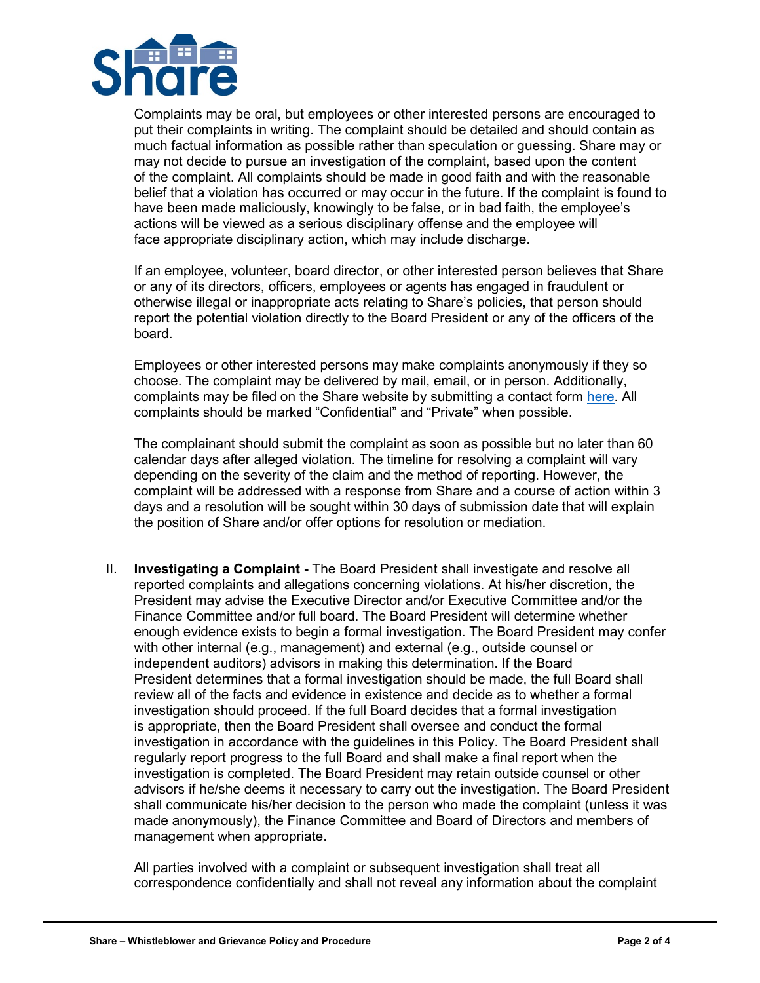

Complaints may be oral, but employees or other interested persons are encouraged to put their complaints in writing. The complaint should be detailed and should contain as much factual information as possible rather than speculation or guessing. Share may or may not decide to pursue an investigation of the complaint, based upon the content of the complaint. All complaints should be made in good faith and with the reasonable belief that a violation has occurred or may occur in the future. If the complaint is found to have been made maliciously, knowingly to be false, or in bad faith, the employee's actions will be viewed as a serious disciplinary offense and the employee will face appropriate disciplinary action, which may include discharge.

If an employee, volunteer, board director, or other interested person believes that Share or any of its directors, officers, employees or agents has engaged in fraudulent or otherwise illegal or inappropriate acts relating to Share's policies, that person should report the potential violation directly to the Board President or any of the officers of the board.

Employees or other interested persons may make complaints anonymously if they so choose. The complaint may be delivered by mail, email, or in person. Additionally, complaints may be filed on the Share website by submitting a contact form [here.](https://sharevancouver.org/contact/) All complaints should be marked "Confidential" and "Private" when possible.

The complainant should submit the complaint as soon as possible but no later than 60 calendar days after alleged violation. The timeline for resolving a complaint will vary depending on the severity of the claim and the method of reporting. However, the complaint will be addressed with a response from Share and a course of action within 3 days and a resolution will be sought within 30 days of submission date that will explain the position of Share and/or offer options for resolution or mediation.

II. **Investigating a Complaint -** The Board President shall investigate and resolve all reported complaints and allegations concerning violations. At his/her discretion, the President may advise the Executive Director and/or Executive Committee and/or the Finance Committee and/or full board. The Board President will determine whether enough evidence exists to begin a formal investigation. The Board President may confer with other internal (e.g., management) and external (e.g., outside counsel or independent auditors) advisors in making this determination. If the Board President determines that a formal investigation should be made, the full Board shall review all of the facts and evidence in existence and decide as to whether a formal investigation should proceed. If the full Board decides that a formal investigation is appropriate, then the Board President shall oversee and conduct the formal investigation in accordance with the guidelines in this Policy. The Board President shall regularly report progress to the full Board and shall make a final report when the investigation is completed. The Board President may retain outside counsel or other advisors if he/she deems it necessary to carry out the investigation. The Board President shall communicate his/her decision to the person who made the complaint (unless it was made anonymously), the Finance Committee and Board of Directors and members of management when appropriate.

All parties involved with a complaint or subsequent investigation shall treat all correspondence confidentially and shall not reveal any information about the complaint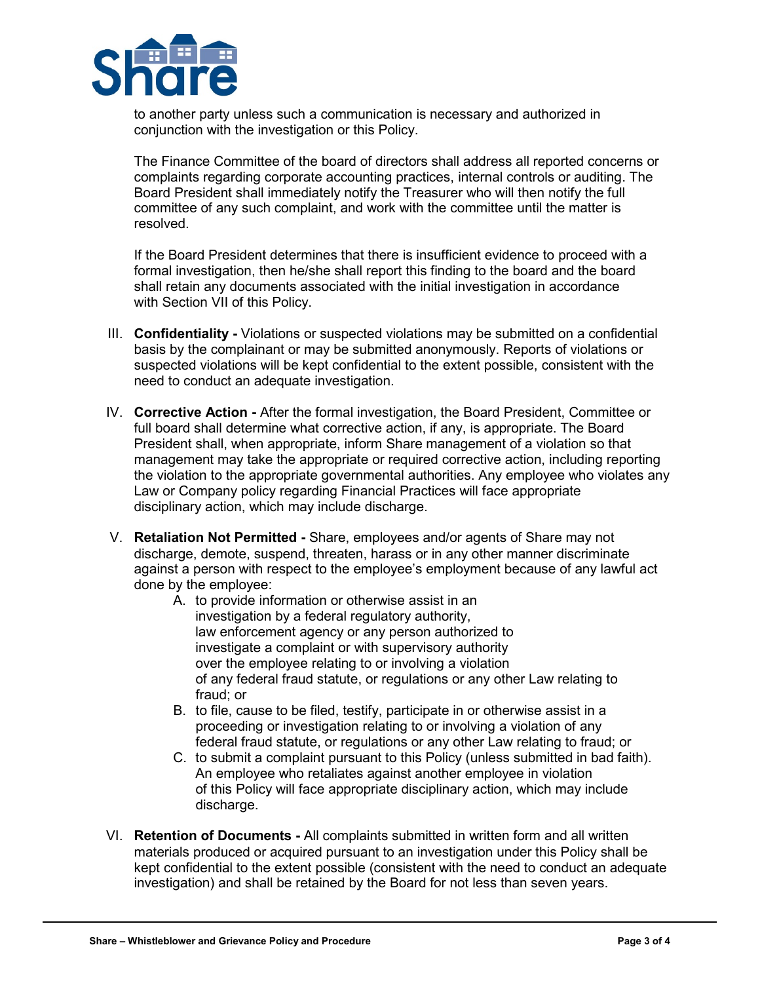

to another party unless such a communication is necessary and authorized in conjunction with the investigation or this Policy.

The Finance Committee of the board of directors shall address all reported concerns or complaints regarding corporate accounting practices, internal controls or auditing. The Board President shall immediately notify the Treasurer who will then notify the full committee of any such complaint, and work with the committee until the matter is resolved.

If the Board President determines that there is insufficient evidence to proceed with a formal investigation, then he/she shall report this finding to the board and the board shall retain any documents associated with the initial investigation in accordance with Section VII of this Policy.

- III. **Confidentiality -** Violations or suspected violations may be submitted on a confidential basis by the complainant or may be submitted anonymously. Reports of violations or suspected violations will be kept confidential to the extent possible, consistent with the need to conduct an adequate investigation.
- IV. **Corrective Action -** After the formal investigation, the Board President, Committee or full board shall determine what corrective action, if any, is appropriate. The Board President shall, when appropriate, inform Share management of a violation so that management may take the appropriate or required corrective action, including reporting the violation to the appropriate governmental authorities. Any employee who violates any Law or Company policy regarding Financial Practices will face appropriate disciplinary action, which may include discharge.
- V. **Retaliation Not Permitted -** Share, employees and/or agents of Share may not discharge, demote, suspend, threaten, harass or in any other manner discriminate against a person with respect to the employee's employment because of any lawful act done by the employee:
	- A. to provide information or otherwise assist in an investigation by a federal regulatory authority, law enforcement agency or any person authorized to investigate a complaint or with supervisory authority over the employee relating to or involving a violation of any federal fraud statute, or regulations or any other Law relating to fraud; or
	- B. to file, cause to be filed, testify, participate in or otherwise assist in a proceeding or investigation relating to or involving a violation of any federal fraud statute, or regulations or any other Law relating to fraud; or
	- C. to submit a complaint pursuant to this Policy (unless submitted in bad faith). An employee who retaliates against another employee in violation of this Policy will face appropriate disciplinary action, which may include discharge.
- VI. **Retention of Documents -** All complaints submitted in written form and all written materials produced or acquired pursuant to an investigation under this Policy shall be kept confidential to the extent possible (consistent with the need to conduct an adequate investigation) and shall be retained by the Board for not less than seven years.